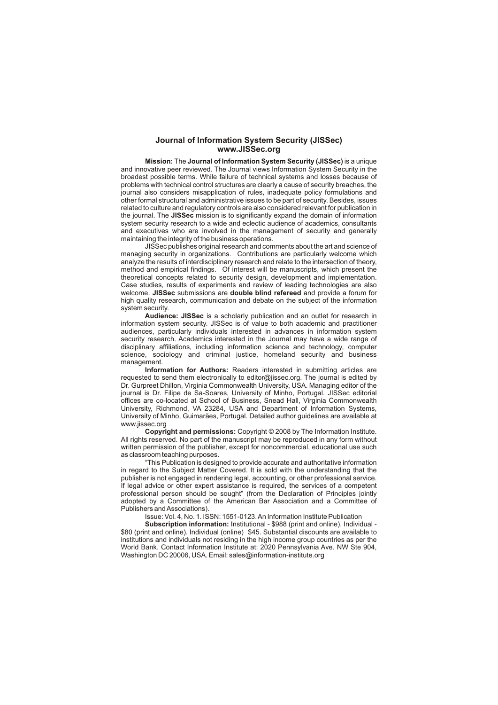#### **Journal of Information System Security (JISSec) www.JISSec.org**

**Mission:** The **Journal of Information System Security (JISSec)** is a unique and innovative peer reviewed. The Journal views Information System Security in the broadest possible terms. While failure of technical systems and losses because of problems with technical control structures are clearly a cause of security breaches, the journal also considers misapplication of rules, inadequate policy formulations and other formal structural and administrative issues to be part of security. Besides, issues related to culture and regulatory controls are also considered relevant for publication in the journal. The **JISSec** mission is to significantly expand the domain of information system security research to a wide and eclectic audience of academics, consultants and executives who are involved in the management of security and generally maintaining the integrity of the business operations.

JISSec publishes original research and comments about the art and science of managing security in organizations. Contributions are particularly welcome which analyze the results of interdisciplinary research and relate to the intersection of theory, method and empirical findings. Of interest will be manuscripts, which present the theoretical concepts related to security design, development and implementation. Case studies, results of experiments and review of leading technologies are also welcome. **JISSec** submissions are **double blind refereed** and provide a forum for high quality research, communication and debate on the subject of the information system security.

**Audience: JISSec** is a scholarly publication and an outlet for research in information system security. JISSec is of value to both academic and practitioner audiences, particularly individuals interested in advances in information system security research. Academics interested in the Journal may have a wide range of disciplinary affiliations, including information science and technology, computer science, sociology and criminal justice, homeland security and business management.

**Information for Authors:** Readers interested in submitting articles are requested to send them electronically to editor@jissec.org. The journal is edited by Dr. Gurpreet Dhillon, Virginia Commonwealth University, USA. Managing editor of the journal is Dr. Filipe de Sa-Soares, University of Minho, Portugal. JISSec editorial offices are co-located at School of Business, Snead Hall, Virginia Commonwealth University, Richmond, VA 23284, USA and Department of Information Systems, University of Minho, Guimarães, Portugal. Detailed author guidelines are available at www.jissec.org

**Copyright and permissions:** Copyright © 2008 by The Information Institute. All rights reserved. No part of the manuscript may be reproduced in any form without written permission of the publisher, except for noncommercial, educational use such as classroom teaching purposes.

"This Publication is designed to provide accurate and authoritative information in regard to the Subject Matter Covered. It is sold with the understanding that the publisher is not engaged in rendering legal, accounting, or other professional service. If legal advice or other expert assistance is required, the services of a competent professional person should be sought" (from the Declaration of Principles jointly adopted by a Committee of the American Bar Association and a Committee of Publishers and Associations).

Issue: Vol. 4, No. 1. ISSN: 1551-0123. An Information Institute Publication

**Subscription information:** Institutional - \$988 (print and online). Individual - \$80 (print and online). Individual (online) \$45. Substantial discounts are available to institutions and individuals not residing in the high income group countries as per the World Bank. Contact Information Institute at: 2020 Pennsylvania Ave. NW Ste 904, Washington DC 20006, USA. Email: sales@information-institute.org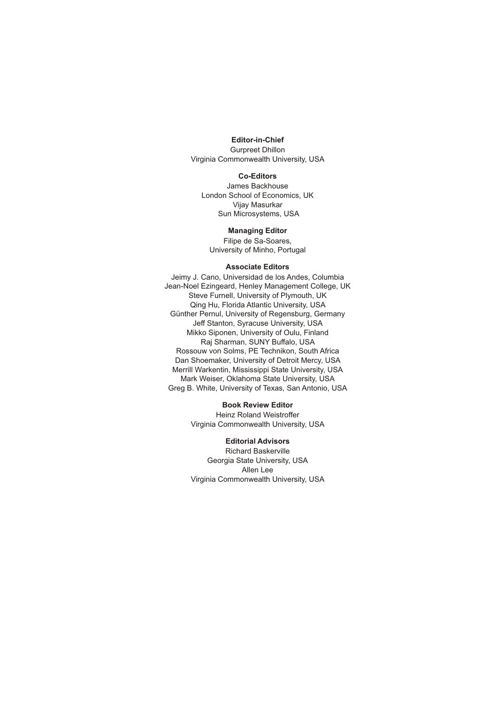### **Editor-in-Chief**

Gurpreet Dhillon Virginia Commonwealth University, USA

#### **Co-Editors**

James Backhouse London School of Economics, UK Vijay Masurkar Sun Microsystems, USA

#### **Managing Editor**

Filipe de Sa-Soares, University of Minho, Portugal

#### **Associate Editors**

Jeimy J. Cano, Universidad de los Andes, Columbia Jean-Noel Ezingeard, Henley Management College, UK Steve Furnell, University of Plymouth, UK Qing Hu, Florida Atlantic University, USA Günther Pernul, University of Regensburg, Germany Jeff Stanton, Syracuse University, USA Mikko Siponen, University of Oulu, Finland Raj Sharman, SUNY Buffalo, USA Rossouw von Solms, PE Technikon, South Africa Dan Shoemaker, University of Detroit Mercy, USA Merrill Warkentin, Mississippi State University, USA Mark Weiser, Oklahoma State University, USA Greg B. White, University of Texas, San Antonio, USA

#### **Book Review Editor**

Heinz Roland Weistroffer Virginia Commonwealth University, USA

## **Editorial Advisors**

Richard Baskerville Georgia State University, USA Allen Lee Virginia Commonwealth University, USA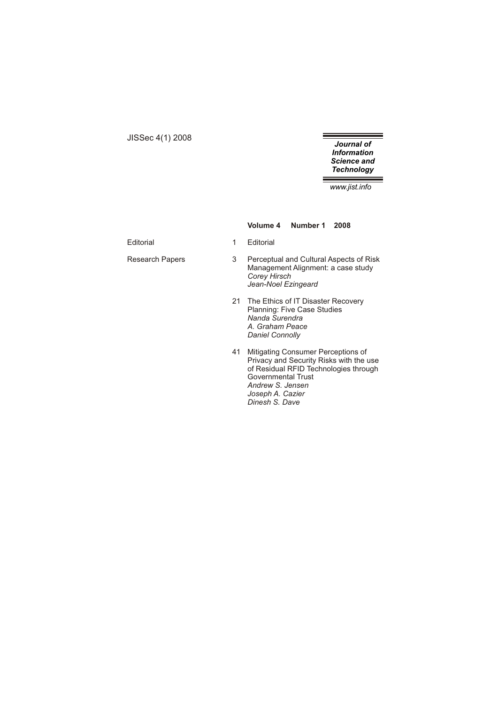JISSec 4(1) 2008

*Journal of Information Science and Technology*

*www.jist.info*

**Volume 4 Number 1 2008**

Editorial 1 Editorial

- Research Papers 3 Perceptual and Cultural Aspects of Risk Management Alignment: a case study *Corey Hirsch Jean-Noel Ezingeard*
	- 21 The Ethics of IT Disaster Recovery Planning: Five Case Studies *Nanda Surendra A. Graham Peace Daniel Connolly*
	- 41 Mitigating Consumer Perceptions of Privacy and Security Risks with the use of Residual RFID Technologies through Governmental Trust *Andrew S. Jensen Joseph A. Cazier Dinesh S. Dave*